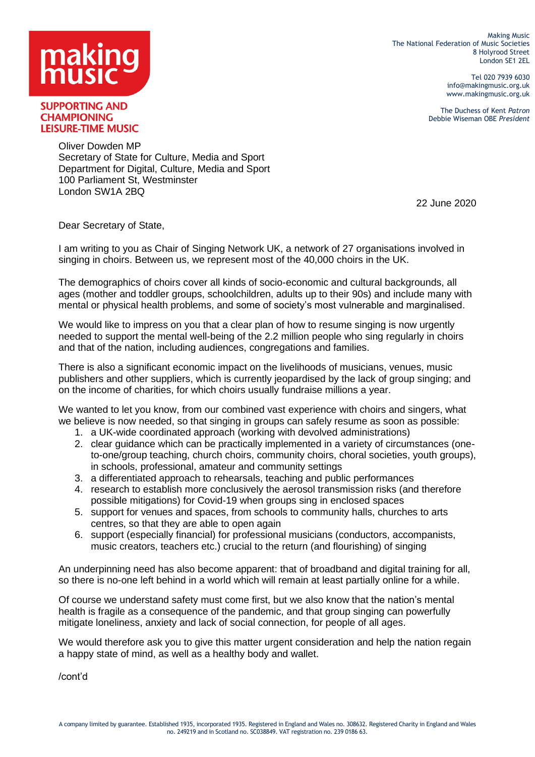

Making Music The National Federation of Music Societies 8 Holyrood Street London SE1 2EL

> Tel 020 7939 6030 info@makingmusic.org.uk www.makingmusic.org.uk

The Duchess of Kent *Patron* Debbie Wiseman OBE *President*

**SUPPORTING AND CHAMPIONING LEISURE-TIME MUSIC** 

> Oliver Dowden MP Secretary of State for Culture, Media and Sport Department for Digital, Culture, Media and Sport 100 Parliament St, Westminster London SW1A 2BQ

> > 22 June 2020

Dear Secretary of State,

I am writing to you as Chair of Singing Network UK, a network of 27 organisations involved in singing in choirs. Between us, we represent most of the 40,000 choirs in the UK.

The demographics of choirs cover all kinds of socio-economic and cultural backgrounds, all ages (mother and toddler groups, schoolchildren, adults up to their 90s) and include many with mental or physical health problems, and some of society's most vulnerable and marginalised.

We would like to impress on you that a clear plan of how to resume singing is now urgently needed to support the mental well-being of the 2.2 million people who sing regularly in choirs and that of the nation, including audiences, congregations and families.

There is also a significant economic impact on the livelihoods of musicians, venues, music publishers and other suppliers, which is currently jeopardised by the lack of group singing; and on the income of charities, for which choirs usually fundraise millions a year.

We wanted to let you know, from our combined vast experience with choirs and singers, what we believe is now needed, so that singing in groups can safely resume as soon as possible:

- 1. a UK-wide coordinated approach (working with devolved administrations)
- 2. clear guidance which can be practically implemented in a variety of circumstances (oneto-one/group teaching, church choirs, community choirs, choral societies, youth groups), in schools, professional, amateur and community settings
- 3. a differentiated approach to rehearsals, teaching and public performances
- 4. research to establish more conclusively the aerosol transmission risks (and therefore possible mitigations) for Covid-19 when groups sing in enclosed spaces
- 5. support for venues and spaces, from schools to community halls, churches to arts centres, so that they are able to open again
- 6. support (especially financial) for professional musicians (conductors, accompanists, music creators, teachers etc.) crucial to the return (and flourishing) of singing

An underpinning need has also become apparent: that of broadband and digital training for all, so there is no-one left behind in a world which will remain at least partially online for a while.

Of course we understand safety must come first, but we also know that the nation's mental health is fragile as a consequence of the pandemic, and that group singing can powerfully mitigate loneliness, anxiety and lack of social connection, for people of all ages.

We would therefore ask you to give this matter urgent consideration and help the nation regain a happy state of mind, as well as a healthy body and wallet.

/cont'd